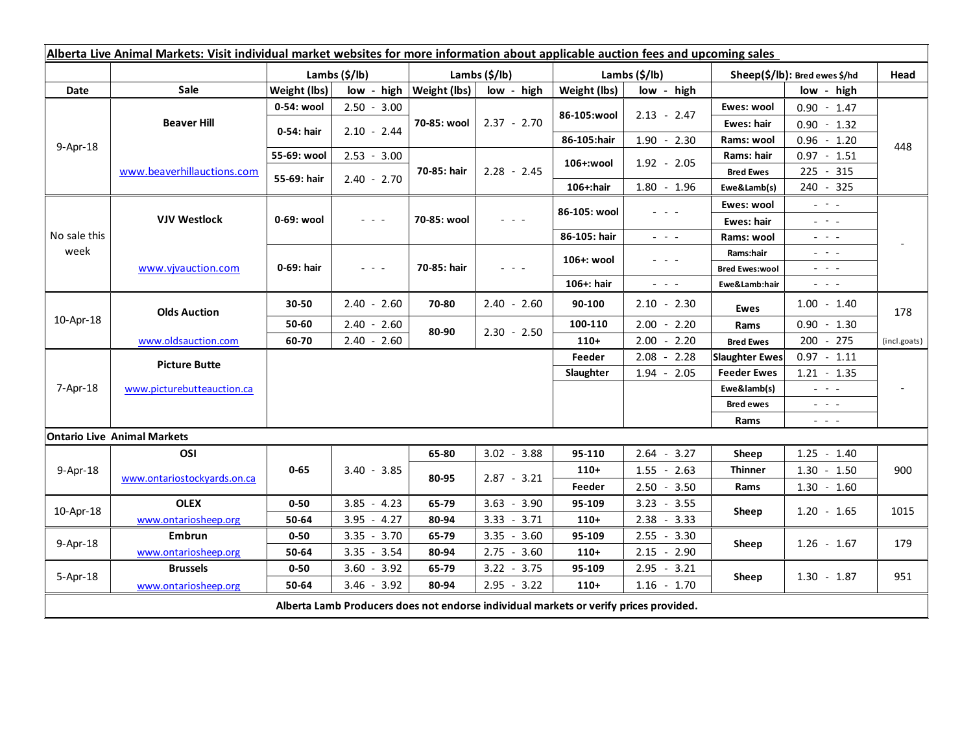| Alberta Live Animal Markets: Visit individual market websites for more information about applicable auction fees and upcoming sales |                                    |               |                                                                                                                           |                             |               |               |                                                                                                 |                               |                                                                                                                                                                                                                                                                                                                                                                                                                                                |                          |
|-------------------------------------------------------------------------------------------------------------------------------------|------------------------------------|---------------|---------------------------------------------------------------------------------------------------------------------------|-----------------------------|---------------|---------------|-------------------------------------------------------------------------------------------------|-------------------------------|------------------------------------------------------------------------------------------------------------------------------------------------------------------------------------------------------------------------------------------------------------------------------------------------------------------------------------------------------------------------------------------------------------------------------------------------|--------------------------|
|                                                                                                                                     |                                    | Lambs (\$/lb) |                                                                                                                           | Lambs $(\frac{2}{3})$ lb)   |               | Lambs (\$/lb) |                                                                                                 | Sheep(\$/lb): Bred ewes \$/hd |                                                                                                                                                                                                                                                                                                                                                                                                                                                | Head                     |
| Date                                                                                                                                | Sale                               | Weight (lbs)  |                                                                                                                           | low - high $ Weight (lbs) $ | low - high    | Weight (lbs)  | low - high                                                                                      | low - high                    |                                                                                                                                                                                                                                                                                                                                                                                                                                                |                          |
| 9-Apr-18                                                                                                                            | <b>Beaver Hill</b>                 | 0-54: wool    | $2.50 - 3.00$                                                                                                             | 70-85: wool                 | $2.37 - 2.70$ | 86-105:wool   | $2.13 - 2.47$                                                                                   | Ewes: wool                    | $0.90 - 1.47$                                                                                                                                                                                                                                                                                                                                                                                                                                  | 448                      |
|                                                                                                                                     |                                    | 0-54: hair    | $2.10 - 2.44$                                                                                                             |                             |               |               |                                                                                                 | <b>Ewes: hair</b>             | $0.90 - 1.32$                                                                                                                                                                                                                                                                                                                                                                                                                                  |                          |
|                                                                                                                                     |                                    |               |                                                                                                                           |                             |               | 86-105:hair   | $1.90 - 2.30$                                                                                   | Rams: wool                    | $0.96 - 1.20$                                                                                                                                                                                                                                                                                                                                                                                                                                  |                          |
|                                                                                                                                     | www.beaverhillauctions.com         | 55-69: wool   | $2.53 - 3.00$                                                                                                             | 70-85: hair                 | $2.28 - 2.45$ | 106+:wool     | $1.92 - 2.05$                                                                                   | Rams: hair                    | $0.97 - 1.51$                                                                                                                                                                                                                                                                                                                                                                                                                                  |                          |
|                                                                                                                                     |                                    | 55-69: hair   | $2.40 - 2.70$                                                                                                             |                             |               |               |                                                                                                 | <b>Bred Ewes</b>              | 225 - 315                                                                                                                                                                                                                                                                                                                                                                                                                                      |                          |
|                                                                                                                                     |                                    |               |                                                                                                                           |                             |               | 106+:hair     | $1.80 - 1.96$                                                                                   | Ewe&Lamb(s)                   | 240 - 325                                                                                                                                                                                                                                                                                                                                                                                                                                      |                          |
| No sale this<br>week                                                                                                                | <b>VJV Westlock</b>                | 0-69: wool    |                                                                                                                           | 70-85: wool                 |               | 86-105: wool  |                                                                                                 | Ewes: wool                    | $\mathbb{L}^2 \times \mathbb{R}^2$                                                                                                                                                                                                                                                                                                                                                                                                             |                          |
|                                                                                                                                     |                                    |               | $\frac{1}{2} \left( \frac{1}{2} \right) \left( \frac{1}{2} \right) \left( \frac{1}{2} \right) \left( \frac{1}{2} \right)$ |                             |               |               |                                                                                                 | Ewes: hair                    | $\frac{1}{2}$ and $\frac{1}{2}$                                                                                                                                                                                                                                                                                                                                                                                                                |                          |
|                                                                                                                                     |                                    |               |                                                                                                                           |                             |               | 86-105: hair  | $\frac{1}{2} \left( \frac{1}{2} \right) = \frac{1}{2} \left( \frac{1}{2} \right) = \frac{1}{2}$ | Rams: wool                    | $- - -$                                                                                                                                                                                                                                                                                                                                                                                                                                        |                          |
|                                                                                                                                     | www.vivauction.com                 | 0-69: hair    | $\frac{1}{2} \left( \frac{1}{2} \right) = \frac{1}{2} \left( \frac{1}{2} \right)$                                         | 70-85: hair                 | $  -$         | 106+: wool    |                                                                                                 | Rams:hair                     | $  -$                                                                                                                                                                                                                                                                                                                                                                                                                                          |                          |
|                                                                                                                                     |                                    |               |                                                                                                                           |                             |               |               |                                                                                                 | <b>Bred Ewes:wool</b>         | $  -$                                                                                                                                                                                                                                                                                                                                                                                                                                          |                          |
|                                                                                                                                     |                                    |               |                                                                                                                           |                             |               | 106+: hair    | $\omega_{\rm{eff}}$ , $\omega_{\rm{eff}}$ , $\omega_{\rm{eff}}$                                 | Ewe&Lamb:hair                 | $\frac{1}{2} \left( \frac{1}{2} \right) \left( \frac{1}{2} \right) \left( \frac{1}{2} \right) \left( \frac{1}{2} \right)$                                                                                                                                                                                                                                                                                                                      |                          |
| 10-Apr-18                                                                                                                           | <b>Olds Auction</b>                | $30 - 50$     | $2.40 - 2.60$                                                                                                             | 70-80                       | $2.40 - 2.60$ | 90-100        | $2.10 - 2.30$                                                                                   | Ewes                          | $1.00 - 1.40$                                                                                                                                                                                                                                                                                                                                                                                                                                  | 178                      |
|                                                                                                                                     |                                    | 50-60         | $2.40 - 2.60$                                                                                                             | 80-90                       | $2.30 - 2.50$ | 100-110       | $2.00 - 2.20$                                                                                   | Rams                          | $0.90 - 1.30$                                                                                                                                                                                                                                                                                                                                                                                                                                  |                          |
|                                                                                                                                     | www.oldsauction.com                | 60-70         | $2.40 - 2.60$                                                                                                             |                             |               | $110+$        | $-2.20$<br>2.00                                                                                 | <b>Bred Ewes</b>              | 200 - 275                                                                                                                                                                                                                                                                                                                                                                                                                                      | (incl.goats)             |
| 7-Apr-18                                                                                                                            | <b>Picture Butte</b>               |               |                                                                                                                           |                             |               | Feeder        | 2.08<br>2.28<br>$\overline{\phantom{a}}$                                                        | <b>Slaughter Ewes</b>         | $0.97 - 1.11$                                                                                                                                                                                                                                                                                                                                                                                                                                  |                          |
|                                                                                                                                     |                                    |               |                                                                                                                           |                             |               | Slaughter     | $1.94 - 2.05$                                                                                   | <b>Feeder Ewes</b>            | $1.21 - 1.35$                                                                                                                                                                                                                                                                                                                                                                                                                                  |                          |
|                                                                                                                                     | www.picturebutteauction.ca         |               |                                                                                                                           |                             |               |               |                                                                                                 | Ewe&lamb(s)                   | $\omega_{\rm{eff}}$ and $\omega_{\rm{eff}}$                                                                                                                                                                                                                                                                                                                                                                                                    | $\overline{\phantom{a}}$ |
|                                                                                                                                     |                                    |               |                                                                                                                           |                             |               |               |                                                                                                 | <b>Bred ewes</b>              | $\frac{1}{2} \left( \frac{1}{2} \right) = \frac{1}{2} \left( \frac{1}{2} \right) = \frac{1}{2}$                                                                                                                                                                                                                                                                                                                                                |                          |
|                                                                                                                                     |                                    |               |                                                                                                                           |                             |               |               |                                                                                                 | Rams                          | $\frac{1}{2} \left( \frac{1}{2} \right) \frac{1}{2} \left( \frac{1}{2} \right) \frac{1}{2} \left( \frac{1}{2} \right) \frac{1}{2} \left( \frac{1}{2} \right) \frac{1}{2} \left( \frac{1}{2} \right) \frac{1}{2} \left( \frac{1}{2} \right) \frac{1}{2} \left( \frac{1}{2} \right) \frac{1}{2} \left( \frac{1}{2} \right) \frac{1}{2} \left( \frac{1}{2} \right) \frac{1}{2} \left( \frac{1}{2} \right) \frac{1}{2} \left( \frac{1}{2} \right)$ |                          |
|                                                                                                                                     | <b>Ontario Live Animal Markets</b> |               |                                                                                                                           |                             |               |               |                                                                                                 |                               |                                                                                                                                                                                                                                                                                                                                                                                                                                                |                          |
| 9-Apr-18                                                                                                                            | OSI                                | $0 - 65$      | $3.40 - 3.85$                                                                                                             | 65-80<br>80-95              | $3.02 - 3.88$ | 95-110        | $2.64 - 3.27$                                                                                   | Sheep                         | $1.25 - 1.40$                                                                                                                                                                                                                                                                                                                                                                                                                                  | 900                      |
|                                                                                                                                     | www.ontariostockyards.on.ca        |               |                                                                                                                           |                             | $2.87 - 3.21$ | $110+$        | $1.55 - 2.63$                                                                                   | <b>Thinner</b>                | $1.30 - 1.50$                                                                                                                                                                                                                                                                                                                                                                                                                                  |                          |
|                                                                                                                                     |                                    |               |                                                                                                                           |                             |               | Feeder        | $2.50 - 3.50$                                                                                   | Rams                          | $1.30 - 1.60$                                                                                                                                                                                                                                                                                                                                                                                                                                  |                          |
| 10-Apr-18                                                                                                                           | <b>OLEX</b>                        | $0 - 50$      | $3.85 - 4.23$                                                                                                             | 65-79                       | $3.63 - 3.90$ | 95-109        | $3.23 - 3.55$                                                                                   | Sheep                         | $1.20 - 1.65$                                                                                                                                                                                                                                                                                                                                                                                                                                  | 1015                     |
|                                                                                                                                     | www.ontariosheep.org               | 50-64         | $3.95 - 4.27$                                                                                                             | 80-94                       | $3.33 - 3.71$ | $110+$        | $2.38 - 3.33$                                                                                   |                               |                                                                                                                                                                                                                                                                                                                                                                                                                                                |                          |
| 9-Apr-18                                                                                                                            | <b>Embrun</b>                      | $0 - 50$      | $3.35 - 3.70$                                                                                                             | 65-79                       | $3.35 - 3.60$ | 95-109        | $2.55 - 3.30$                                                                                   | Sheep                         | $1.26 - 1.67$                                                                                                                                                                                                                                                                                                                                                                                                                                  | 179                      |
|                                                                                                                                     | www.ontariosheep.org               | 50-64         | $3.35 - 3.54$                                                                                                             | 80-94                       | $2.75 - 3.60$ | $110+$        | $2.15 - 2.90$                                                                                   |                               |                                                                                                                                                                                                                                                                                                                                                                                                                                                |                          |
| 5-Apr-18                                                                                                                            | <b>Brussels</b>                    | $0 - 50$      | $-3.92$<br>3.60                                                                                                           | 65-79                       | $3.22 - 3.75$ | 95-109        | 2.95<br>$-3.21$                                                                                 | Sheep                         | $1.30 - 1.87$                                                                                                                                                                                                                                                                                                                                                                                                                                  | 951                      |
|                                                                                                                                     | www.ontariosheep.org               | 50-64         | $3.46 - 3.92$                                                                                                             | 80-94                       | $2.95 - 3.22$ | $110+$        | $1.16 - 1.70$                                                                                   |                               |                                                                                                                                                                                                                                                                                                                                                                                                                                                |                          |
| Alberta Lamb Producers does not endorse individual markets or verify prices provided.                                               |                                    |               |                                                                                                                           |                             |               |               |                                                                                                 |                               |                                                                                                                                                                                                                                                                                                                                                                                                                                                |                          |